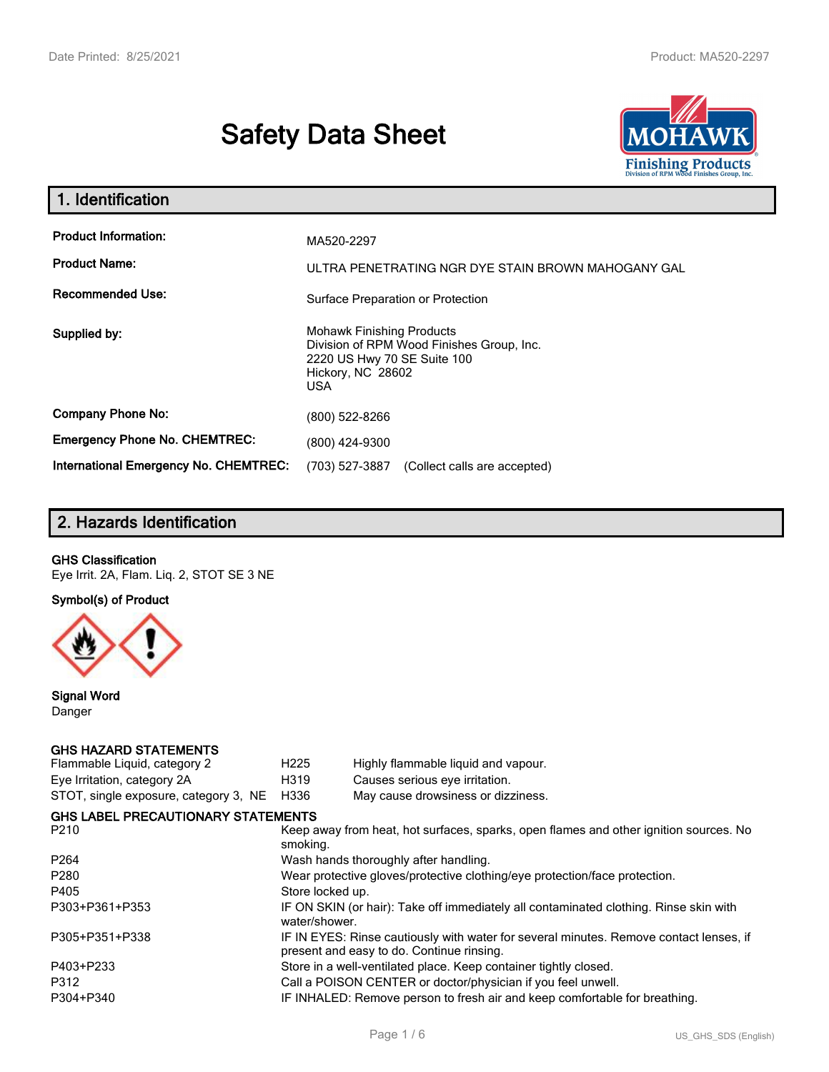# **Safety Data Sheet**



| 1. Identification                                                              |                                                                                                                                          |
|--------------------------------------------------------------------------------|------------------------------------------------------------------------------------------------------------------------------------------|
| <b>Product Information:</b><br><b>Product Name:</b><br><b>Recommended Use:</b> | MA520-2297<br>ULTRA PENETRATING NGR DYE STAIN BROWN MAHOGANY GAL                                                                         |
|                                                                                | Surface Preparation or Protection                                                                                                        |
| Supplied by:                                                                   | <b>Mohawk Finishing Products</b><br>Division of RPM Wood Finishes Group, Inc.<br>2220 US Hwy 70 SE Suite 100<br>Hickory, NC 28602<br>USA |
| <b>Company Phone No:</b>                                                       | (800) 522-8266                                                                                                                           |
| <b>Emergency Phone No. CHEMTREC:</b>                                           | (800) 424-9300                                                                                                                           |
| International Emergency No. CHEMTREC:                                          | (703) 527-3887<br>(Collect calls are accepted)                                                                                           |

# **2. Hazards Identification**

## **GHS Classification**

Eye Irrit. 2A, Flam. Liq. 2, STOT SE 3 NE

**Symbol(s) of Product**



**Signal Word** Danger

## **GHS HAZARD STATEMENTS**

| H <sub>225</sub>                                                           | Highly flammable liquid and vapour.                                                                                                 |  |  |  |
|----------------------------------------------------------------------------|-------------------------------------------------------------------------------------------------------------------------------------|--|--|--|
| H319                                                                       | Causes serious eye irritation.                                                                                                      |  |  |  |
| H336                                                                       | May cause drowsiness or dizziness.                                                                                                  |  |  |  |
|                                                                            |                                                                                                                                     |  |  |  |
| smoking.                                                                   | Keep away from heat, hot surfaces, sparks, open flames and other ignition sources. No                                               |  |  |  |
|                                                                            | Wash hands thoroughly after handling.                                                                                               |  |  |  |
| Wear protective gloves/protective clothing/eye protection/face protection. |                                                                                                                                     |  |  |  |
| Store locked up.                                                           |                                                                                                                                     |  |  |  |
| water/shower.                                                              | IF ON SKIN (or hair): Take off immediately all contaminated clothing. Rinse skin with                                               |  |  |  |
|                                                                            | IF IN EYES: Rinse cautiously with water for several minutes. Remove contact lenses, if<br>present and easy to do. Continue rinsing. |  |  |  |
|                                                                            | Store in a well-ventilated place. Keep container tightly closed.                                                                    |  |  |  |
|                                                                            | Call a POISON CENTER or doctor/physician if you feel unwell.                                                                        |  |  |  |
| IF INHALED: Remove person to fresh air and keep comfortable for breathing. |                                                                                                                                     |  |  |  |
|                                                                            | STOT, single exposure, category 3, NE<br><b>GHS LABEL PRECAUTIONARY STATEMENTS</b>                                                  |  |  |  |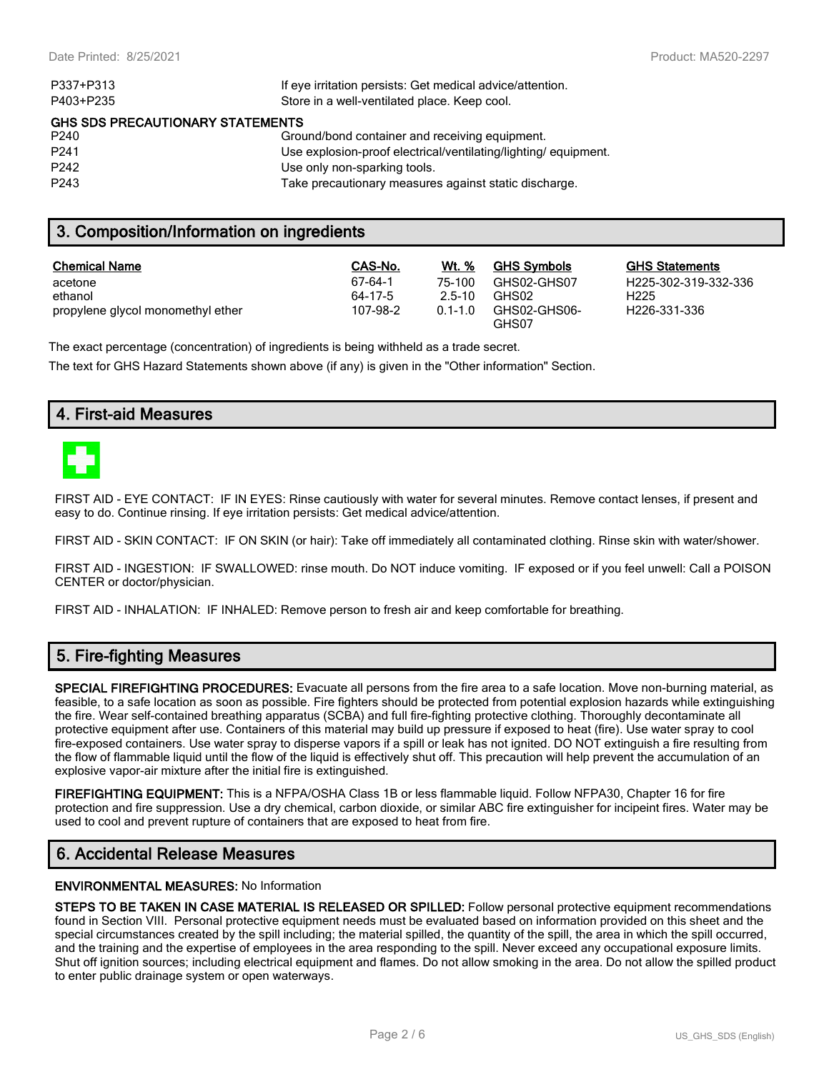| P337+P313                               | If eye irritation persists: Get medical advice/attention.      |  |  |  |
|-----------------------------------------|----------------------------------------------------------------|--|--|--|
| P403+P235                               | Store in a well-ventilated place. Keep cool.                   |  |  |  |
| <b>GHS SDS PRECAUTIONARY STATEMENTS</b> |                                                                |  |  |  |
| P <sub>240</sub>                        | Ground/bond container and receiving equipment.                 |  |  |  |
| P <sub>241</sub>                        | Use explosion-proof electrical/ventilating/lighting/equipment. |  |  |  |
| P <sub>242</sub>                        | Use only non-sparking tools.                                   |  |  |  |
| P <sub>243</sub>                        | Take precautionary measures against static discharge.          |  |  |  |
|                                         |                                                                |  |  |  |

# **3. Composition/Information on ingredients**

| <b>Chemical Name</b>              | CAS-No.  | Wt. %       | <b>GHS Symbols</b>    | GHS  |
|-----------------------------------|----------|-------------|-----------------------|------|
| acetone                           | 67-64-1  | 75-100      | GHS02-GHS07           | H225 |
| ethanol                           | 64-17-5  | $2.5 - 10$  | GHS02                 | H225 |
| propylene glycol monomethyl ether | 107-98-2 | $0.1 - 1.0$ | GHS02-GHS06-<br>GHS07 | H226 |

**GHS Statements** H225-302-319-332-336 H226-331-336

The exact percentage (concentration) of ingredients is being withheld as a trade secret.

The text for GHS Hazard Statements shown above (if any) is given in the "Other information" Section.

## **4. First-aid Measures**



FIRST AID - EYE CONTACT: IF IN EYES: Rinse cautiously with water for several minutes. Remove contact lenses, if present and easy to do. Continue rinsing. If eye irritation persists: Get medical advice/attention.

FIRST AID - SKIN CONTACT: IF ON SKIN (or hair): Take off immediately all contaminated clothing. Rinse skin with water/shower.

FIRST AID - INGESTION: IF SWALLOWED: rinse mouth. Do NOT induce vomiting. IF exposed or if you feel unwell: Call a POISON CENTER or doctor/physician.

FIRST AID - INHALATION: IF INHALED: Remove person to fresh air and keep comfortable for breathing.

# **5. Fire-fighting Measures**

**SPECIAL FIREFIGHTING PROCEDURES:** Evacuate all persons from the fire area to a safe location. Move non-burning material, as feasible, to a safe location as soon as possible. Fire fighters should be protected from potential explosion hazards while extinguishing the fire. Wear self-contained breathing apparatus (SCBA) and full fire-fighting protective clothing. Thoroughly decontaminate all protective equipment after use. Containers of this material may build up pressure if exposed to heat (fire). Use water spray to cool fire-exposed containers. Use water spray to disperse vapors if a spill or leak has not ignited. DO NOT extinguish a fire resulting from the flow of flammable liquid until the flow of the liquid is effectively shut off. This precaution will help prevent the accumulation of an explosive vapor-air mixture after the initial fire is extinguished.

**FIREFIGHTING EQUIPMENT:** This is a NFPA/OSHA Class 1B or less flammable liquid. Follow NFPA30, Chapter 16 for fire protection and fire suppression. Use a dry chemical, carbon dioxide, or similar ABC fire extinguisher for incipeint fires. Water may be used to cool and prevent rupture of containers that are exposed to heat from fire.

# **6. Accidental Release Measures**

#### **ENVIRONMENTAL MEASURES:** No Information

**STEPS TO BE TAKEN IN CASE MATERIAL IS RELEASED OR SPILLED:** Follow personal protective equipment recommendations found in Section VIII. Personal protective equipment needs must be evaluated based on information provided on this sheet and the special circumstances created by the spill including; the material spilled, the quantity of the spill, the area in which the spill occurred, and the training and the expertise of employees in the area responding to the spill. Never exceed any occupational exposure limits. Shut off ignition sources; including electrical equipment and flames. Do not allow smoking in the area. Do not allow the spilled product to enter public drainage system or open waterways.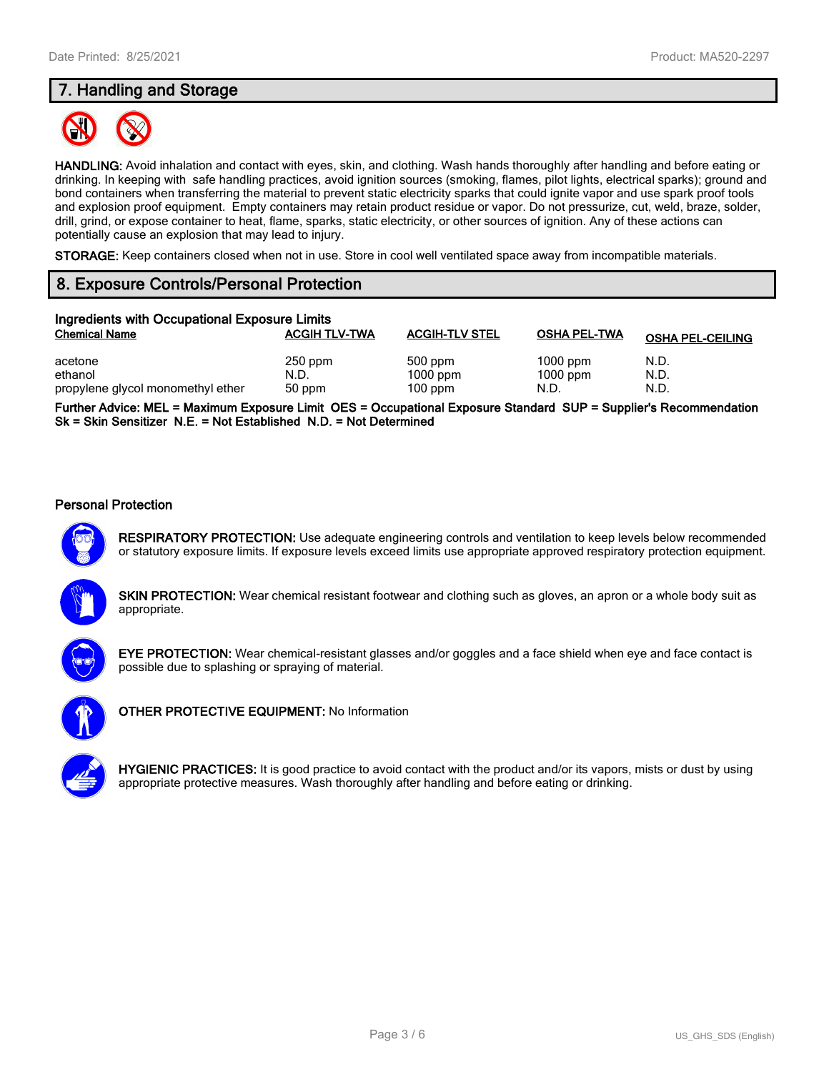# **7. Handling and Storage**



**HANDLING:** Avoid inhalation and contact with eyes, skin, and clothing. Wash hands thoroughly after handling and before eating or drinking. In keeping with safe handling practices, avoid ignition sources (smoking, flames, pilot lights, electrical sparks); ground and bond containers when transferring the material to prevent static electricity sparks that could ignite vapor and use spark proof tools and explosion proof equipment. Empty containers may retain product residue or vapor. Do not pressurize, cut, weld, braze, solder, drill, grind, or expose container to heat, flame, sparks, static electricity, or other sources of ignition. Any of these actions can potentially cause an explosion that may lead to injury.

**STORAGE:** Keep containers closed when not in use. Store in cool well ventilated space away from incompatible materials.

# **8. Exposure Controls/Personal Protection**

| Ingredients with Occupational Exposure Limits |                      |                       |                          |                         |  |
|-----------------------------------------------|----------------------|-----------------------|--------------------------|-------------------------|--|
| <b>Chemical Name</b>                          | <b>ACGIH TLV-TWA</b> | <b>ACGIH-TLV STEL</b> | <b>OSHA PEL-TWA</b>      | <b>OSHA PEL-CEILING</b> |  |
| acetone<br>ethanol                            | $250$ ppm<br>N.D.    | 500 ppm<br>$1000$ ppm | $1000$ ppm<br>$1000$ ppm | N.D.<br>N.D.            |  |
| propylene glycol monomethyl ether             | 50 ppm               | $100$ ppm             | N.D.                     | N.D.                    |  |

**Further Advice: MEL = Maximum Exposure Limit OES = Occupational Exposure Standard SUP = Supplier's Recommendation Sk = Skin Sensitizer N.E. = Not Established N.D. = Not Determined**

#### **Personal Protection**



**RESPIRATORY PROTECTION:** Use adequate engineering controls and ventilation to keep levels below recommended or statutory exposure limits. If exposure levels exceed limits use appropriate approved respiratory protection equipment.





**EYE PROTECTION:** Wear chemical-resistant glasses and/or goggles and a face shield when eye and face contact is possible due to splashing or spraying of material.



**OTHER PROTECTIVE EQUIPMENT:** No Information

**HYGIENIC PRACTICES:** It is good practice to avoid contact with the product and/or its vapors, mists or dust by using appropriate protective measures. Wash thoroughly after handling and before eating or drinking.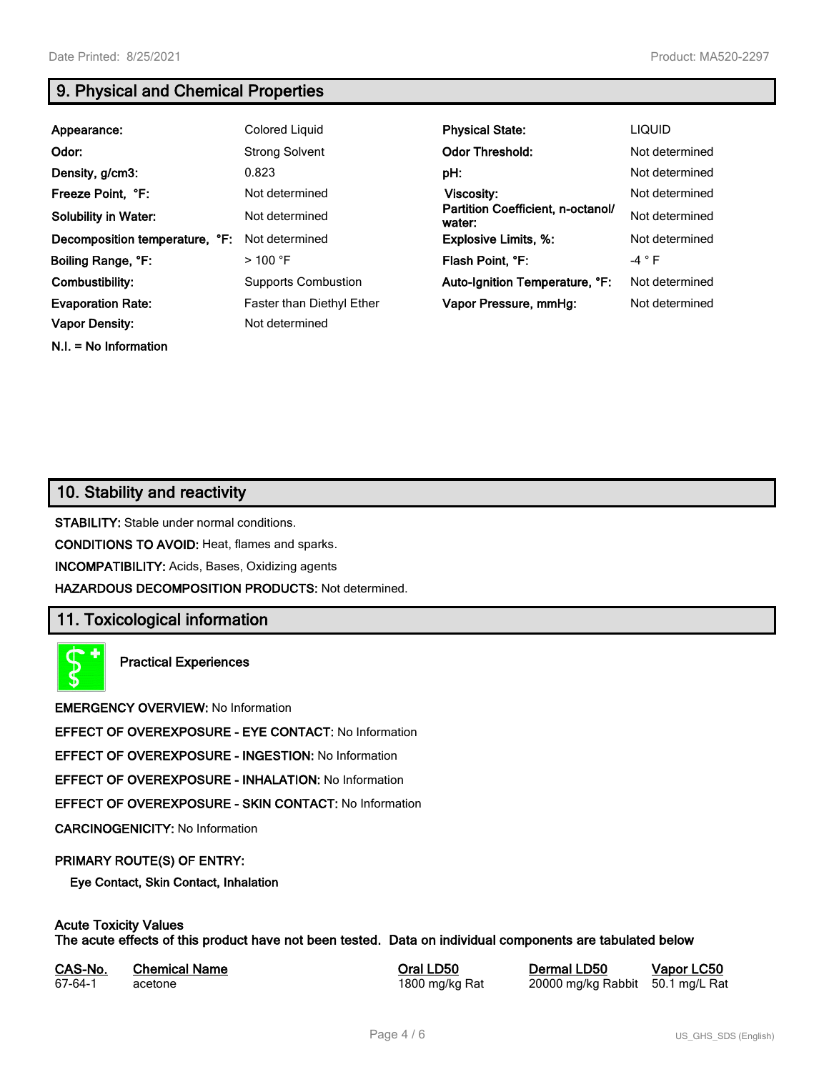# **9. Physical and Chemical Properties**

| Appearance:                    | <b>Colored Liquid</b>      | <b>Physical State:</b>                      | <b>LIQUID</b>  |
|--------------------------------|----------------------------|---------------------------------------------|----------------|
| Odor:                          | <b>Strong Solvent</b>      | <b>Odor Threshold:</b>                      | Not determined |
| Density, g/cm3:                | 0.823                      | pH:                                         | Not determined |
| Freeze Point, °F:              | Not determined             | Viscosity:                                  | Not determined |
| <b>Solubility in Water:</b>    | Not determined             | Partition Coefficient, n-octanol/<br>water: | Not determined |
| Decomposition temperature, °F: | Not determined             | <b>Explosive Limits, %:</b>                 | Not determined |
| Boiling Range, °F:             | $>100$ °F                  | Flash Point, °F:                            | $-4$ $\circ$ F |
| Combustibility:                | <b>Supports Combustion</b> | Auto-Ignition Temperature, °F:              | Not determined |
| <b>Evaporation Rate:</b>       | Faster than Diethyl Ether  | Vapor Pressure, mmHg:                       | Not determined |
| <b>Vapor Density:</b>          | Not determined             |                                             |                |

# **10. Stability and reactivity**

**N.I. = No Information**

**STABILITY:** Stable under normal conditions.

**CONDITIONS TO AVOID:** Heat, flames and sparks.

**INCOMPATIBILITY:** Acids, Bases, Oxidizing agents

**HAZARDOUS DECOMPOSITION PRODUCTS:** Not determined.

# **11. Toxicological information**

**Practical Experiences**

**EMERGENCY OVERVIEW:** No Information

**EFFECT OF OVEREXPOSURE - EYE CONTACT:** No Information

**EFFECT OF OVEREXPOSURE - INGESTION:** No Information

**EFFECT OF OVEREXPOSURE - INHALATION:** No Information

**EFFECT OF OVEREXPOSURE - SKIN CONTACT:** No Information

**CARCINOGENICITY:** No Information

## **PRIMARY ROUTE(S) OF ENTRY:**

**Eye Contact, Skin Contact, Inhalation**

# **Acute Toxicity Values**

**The acute effects of this product have not been tested. Data on individual components are tabulated below**

| CAS-No. | <b>Chemical Name</b> |  |
|---------|----------------------|--|
| 67-64-1 | acetone              |  |

**Casary Chemical Chemical LD50 Chemical LD50 Vapor LC50** 1800 mg/kg Rat 20000 mg/kg Rabbit 50.1 mg/L Rat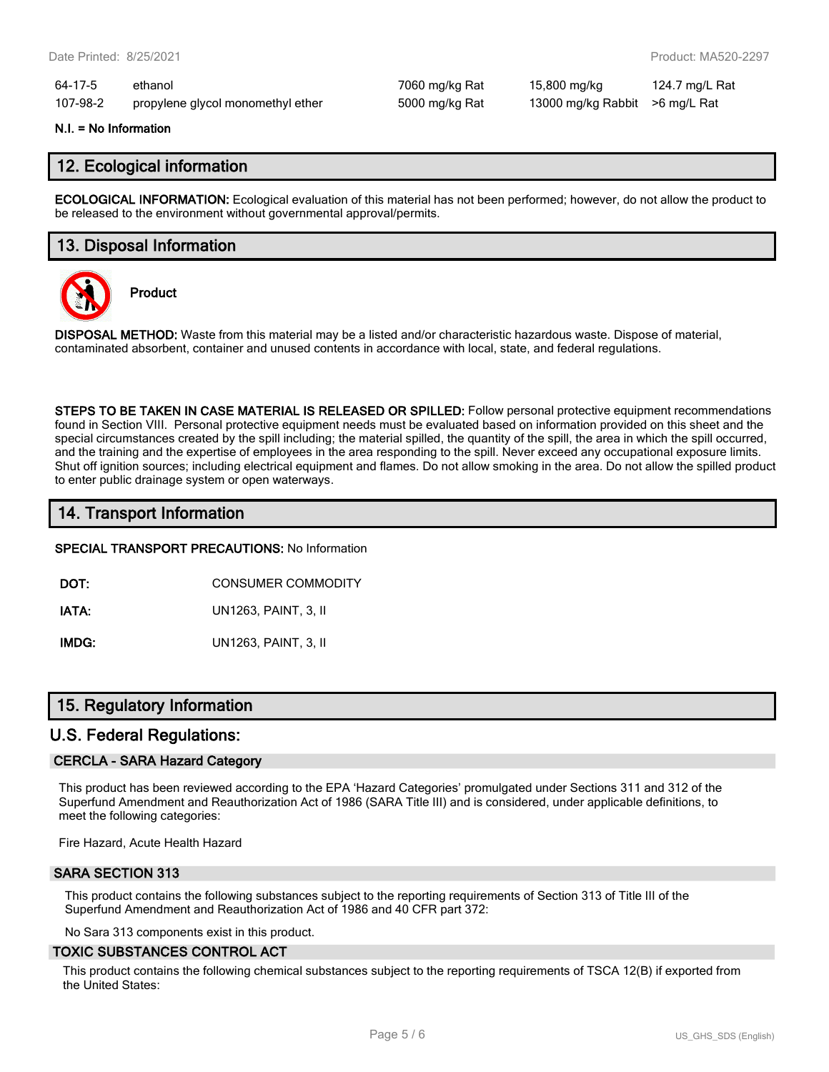64-17-5 ethanol 7060 mg/kg Rat 15,800 mg/kg 124.7 mg/L Rat 107-98-2 propylene glycol monomethyl ether 5000 mg/kg Rat 13000 mg/kg Rabbit >6 mg/L Rat

#### **N.I. = No Information**

## **12. Ecological information**

**ECOLOGICAL INFORMATION:** Ecological evaluation of this material has not been performed; however, do not allow the product to be released to the environment without governmental approval/permits.

## **13. Disposal Information**



**Product**

**DISPOSAL METHOD:** Waste from this material may be a listed and/or characteristic hazardous waste. Dispose of material, contaminated absorbent, container and unused contents in accordance with local, state, and federal regulations.

**STEPS TO BE TAKEN IN CASE MATERIAL IS RELEASED OR SPILLED:** Follow personal protective equipment recommendations found in Section VIII. Personal protective equipment needs must be evaluated based on information provided on this sheet and the special circumstances created by the spill including; the material spilled, the quantity of the spill, the area in which the spill occurred, and the training and the expertise of employees in the area responding to the spill. Never exceed any occupational exposure limits. Shut off ignition sources; including electrical equipment and flames. Do not allow smoking in the area. Do not allow the spilled product to enter public drainage system or open waterways.

# **14. Transport Information**

**SPECIAL TRANSPORT PRECAUTIONS:** No Information

**DOT:** CONSUMER COMMODITY

**IATA:** UN1263, PAINT, 3, II

**IMDG:** UN1263, PAINT, 3, II

# **15. Regulatory Information**

## **U.S. Federal Regulations:**

## **CERCLA - SARA Hazard Category**

This product has been reviewed according to the EPA 'Hazard Categories' promulgated under Sections 311 and 312 of the Superfund Amendment and Reauthorization Act of 1986 (SARA Title III) and is considered, under applicable definitions, to meet the following categories:

Fire Hazard, Acute Health Hazard

## **SARA SECTION 313**

This product contains the following substances subject to the reporting requirements of Section 313 of Title III of the Superfund Amendment and Reauthorization Act of 1986 and 40 CFR part 372:

No Sara 313 components exist in this product.

#### **TOXIC SUBSTANCES CONTROL ACT**

This product contains the following chemical substances subject to the reporting requirements of TSCA 12(B) if exported from the United States: